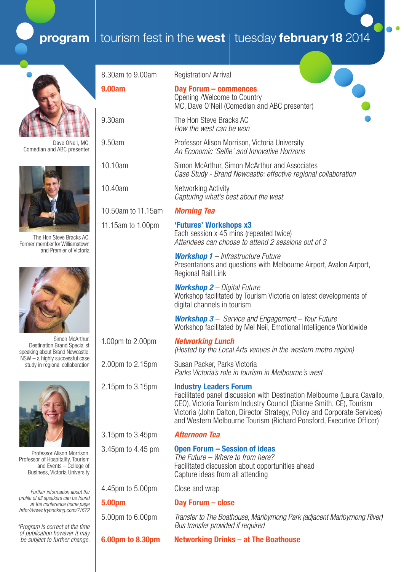# **program** tourism fest in the **west** | tuesday **february 18** 2014



Dave ONeil, MC, Comedian and ABC presenter



The Hon Steve Bracks AC, Former member for Williamstown and Premier of Victoria



Simon McArthur, Destination Brand Specialist speaking about Brand Newcastle, NSW – a highly successful case study in regional collaboration



Professor Alison Morrison, Professor of Hospitality, Tourism and Events – College of Business, Victoria University

*Further information about the profile of all speakers can be found at the conference home page http://www.trybooking.com/71672* 

*\*Program is correct at the time of publication however it may be subject to further change.*

| 8.30am to 9.00am   | <b>Registration/Arrival</b>                                                                                                                                                                                                                                                                                                        |
|--------------------|------------------------------------------------------------------------------------------------------------------------------------------------------------------------------------------------------------------------------------------------------------------------------------------------------------------------------------|
| <b>9.00am</b>      | <b>Day Forum - commences</b><br>Opening /Welcome to Country<br>MC, Dave O'Neil (Comedian and ABC presenter)                                                                                                                                                                                                                        |
| 9.30am             | The Hon Steve Bracks AC<br>How the west can be won                                                                                                                                                                                                                                                                                 |
| 9.50am             | Professor Alison Morrison, Victoria University<br>An Economic 'Selfie' and Innovative Horizons                                                                                                                                                                                                                                     |
| 10.10am            | Simon McArthur, Simon McArthur and Associates<br>Case Study - Brand Newcastle: effective regional collaboration                                                                                                                                                                                                                    |
| 10.40am            | Networking Activity<br>Capturing what's best about the west                                                                                                                                                                                                                                                                        |
| 10.50am to 11.15am | <b>Morning Tea</b>                                                                                                                                                                                                                                                                                                                 |
| 11.15am to 1.00pm  | 'Futures' Workshops x3<br>Each session x 45 mins (repeated twice)<br>Attendees can choose to attend 2 sessions out of 3                                                                                                                                                                                                            |
|                    | <b>Workshop 1</b> - Infrastructure Future<br>Presentations and questions with Melbourne Airport, Avalon Airport,<br>Regional Rail Link                                                                                                                                                                                             |
|                    | <b>Workshop 2</b> – Digital Future<br>Workshop facilitated by Tourism Victoria on latest developments of<br>digital channels in tourism                                                                                                                                                                                            |
|                    | <b>Workshop 3</b> – Service and Engagement – Your Future<br>Workshop facilitated by Mel Neil, Emotional Intelligence Worldwide                                                                                                                                                                                                     |
| 1.00pm to 2.00pm   | <b>Networking Lunch</b><br>(Hosted by the Local Arts venues in the western metro region)                                                                                                                                                                                                                                           |
| 2.00pm to 2.15pm   | Susan Packer, Parks Victoria<br>Parks Victoria's role in tourism in Melbourne's west                                                                                                                                                                                                                                               |
| 2.15pm to 3.15pm   | <b>Industry Leaders Forum</b><br>Facilitated panel discussion with Destination Melbourne (Laura Cavallo,<br>CEO), Victoria Tourism Industry Council (Dianne Smith, CE), Tourism<br>Victoria (John Dalton, Director Strategy, Policy and Corporate Services)<br>and Western Melbourne Tourism (Richard Ponsford, Executive Officer) |
| 3.15pm to 3.45pm   | <b>Afternoon Tea</b>                                                                                                                                                                                                                                                                                                               |
| 3.45pm to 4.45 pm  | <b>Open Forum - Session of ideas</b><br>The Future – Where to from here?<br>Facilitated discussion about opportunities ahead<br>Capture ideas from all attending                                                                                                                                                                   |
| 4.45pm to 5.00pm   | Close and wrap                                                                                                                                                                                                                                                                                                                     |
| 5.00pm             | Day Forum - close                                                                                                                                                                                                                                                                                                                  |
| 5.00pm to 6.00pm   | Transfer to The Boathouse, Maribyrnong Park (adjacent Maribyrnong River)<br>Bus transfer provided if required                                                                                                                                                                                                                      |
| 6.00pm to 8.30pm   | Networking Drinks – at The Boathouse                                                                                                                                                                                                                                                                                               |